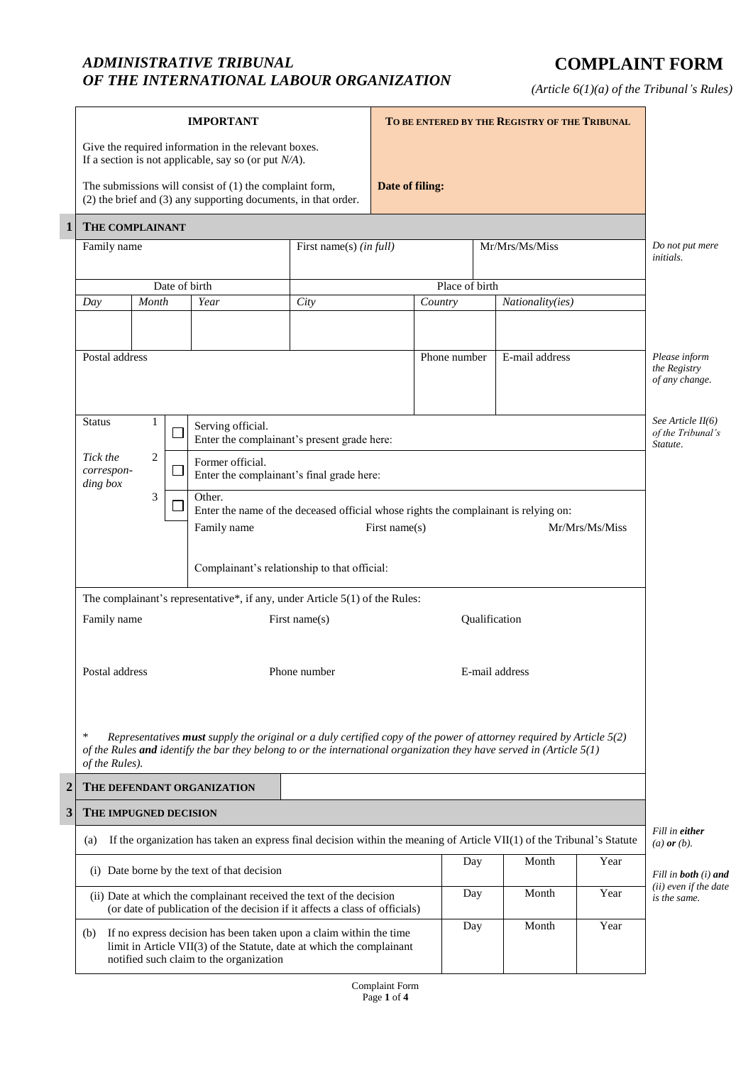## *ADMINISTRATIVE TRIBUNAL OF THE INTERNATIONAL LABOUR ORGANIZATION*

## **COMPLAINT FORM**

*(Article 6(1)(a) of the Tribunal's Rules)*

|                                                                                                                                                                                               | <b>IMPORTANT</b>                                                                                                                                                                                                                                                                                |                                                                                                                           |  |               |                 | TO BE ENTERED BY THE REGISTRY OF THE TRIBUNAL |     |                  |                                                    |              |                                                      |
|-----------------------------------------------------------------------------------------------------------------------------------------------------------------------------------------------|-------------------------------------------------------------------------------------------------------------------------------------------------------------------------------------------------------------------------------------------------------------------------------------------------|---------------------------------------------------------------------------------------------------------------------------|--|---------------|-----------------|-----------------------------------------------|-----|------------------|----------------------------------------------------|--------------|------------------------------------------------------|
|                                                                                                                                                                                               | Give the required information in the relevant boxes.<br>If a section is not applicable, say so (or put $N/A$ ).                                                                                                                                                                                 |                                                                                                                           |  |               | Date of filing: |                                               |     |                  |                                                    |              |                                                      |
|                                                                                                                                                                                               | The submissions will consist of $(1)$ the complaint form,<br>(2) the brief and (3) any supporting documents, in that order.                                                                                                                                                                     |                                                                                                                           |  |               |                 |                                               |     |                  |                                                    |              |                                                      |
| $\mathbf{1}$                                                                                                                                                                                  | THE COMPLAINANT                                                                                                                                                                                                                                                                                 |                                                                                                                           |  |               |                 |                                               |     |                  |                                                    |              |                                                      |
|                                                                                                                                                                                               | First name(s) (in full)<br>Family name                                                                                                                                                                                                                                                          |                                                                                                                           |  |               |                 |                                               |     |                  | Mr/Mrs/Ms/Miss                                     |              | Do not put mere<br>initials.                         |
|                                                                                                                                                                                               |                                                                                                                                                                                                                                                                                                 |                                                                                                                           |  | Date of birth |                 | Place of birth                                |     |                  |                                                    |              |                                                      |
|                                                                                                                                                                                               | Day                                                                                                                                                                                                                                                                                             | Month                                                                                                                     |  | Year          | City            | Country                                       |     | Nationality(ies) |                                                    |              |                                                      |
|                                                                                                                                                                                               | Postal address                                                                                                                                                                                                                                                                                  |                                                                                                                           |  |               |                 | Phone number                                  |     |                  | E-mail address                                     |              | Please inform<br>the Registry<br>of any change.      |
|                                                                                                                                                                                               | <b>Status</b><br>1<br>Serving official.<br>Enter the complainant's present grade here:<br>$\overline{2}$<br>Tick the                                                                                                                                                                            |                                                                                                                           |  |               |                 |                                               |     |                  | See Article II(6)<br>of the Tribunal's<br>Statute. |              |                                                      |
|                                                                                                                                                                                               | Former official.<br>correspon-<br>Enter the complainant's final grade here:<br>ding box<br>3<br>Other.<br>Enter the name of the deceased official whose rights the complainant is relying on:<br>First name(s)<br>Mr/Mrs/Ms/Miss<br>Family name<br>Complainant's relationship to that official: |                                                                                                                           |  |               |                 |                                               |     |                  |                                                    |              |                                                      |
|                                                                                                                                                                                               | The complainant's representative*, if any, under Article $5(1)$ of the Rules:                                                                                                                                                                                                                   |                                                                                                                           |  |               |                 |                                               |     |                  |                                                    |              |                                                      |
|                                                                                                                                                                                               | Family name<br>First name(s)                                                                                                                                                                                                                                                                    |                                                                                                                           |  |               |                 | Qualification                                 |     |                  |                                                    |              |                                                      |
|                                                                                                                                                                                               | Postal address<br>Phone number                                                                                                                                                                                                                                                                  |                                                                                                                           |  |               | E-mail address  |                                               |     |                  |                                                    |              |                                                      |
|                                                                                                                                                                                               | $\ast$<br>Representatives must supply the original or a duly certified copy of the power of attorney required by Article $5(2)$<br>of the Rules and identify the bar they belong to or the international organization they have served in (Article $5(1)$<br>of the Rules).                     |                                                                                                                           |  |               |                 |                                               |     |                  |                                                    |              |                                                      |
| $\mathbf 2$                                                                                                                                                                                   |                                                                                                                                                                                                                                                                                                 | THE DEFENDANT ORGANIZATION                                                                                                |  |               |                 |                                               |     |                  |                                                    |              |                                                      |
| 3                                                                                                                                                                                             | THE IMPUGNED DECISION                                                                                                                                                                                                                                                                           |                                                                                                                           |  |               |                 |                                               |     |                  |                                                    |              |                                                      |
|                                                                                                                                                                                               | (a)                                                                                                                                                                                                                                                                                             | If the organization has taken an express final decision within the meaning of Article VII $(1)$ of the Tribunal's Statute |  |               |                 |                                               |     |                  |                                                    |              | Fill in either<br>$(a)$ or $(b)$ .                   |
|                                                                                                                                                                                               | (i) Date borne by the text of that decision                                                                                                                                                                                                                                                     |                                                                                                                           |  |               |                 |                                               |     | Day              | Month                                              | Year         | Fill in <b>both</b> (i) and<br>(ii) even if the date |
|                                                                                                                                                                                               | (ii) Date at which the complainant received the text of the decision<br>(or date of publication of the decision if it affects a class of officials)                                                                                                                                             |                                                                                                                           |  |               |                 |                                               | Day | Month            | Year                                               | is the same. |                                                      |
| If no express decision has been taken upon a claim within the time<br>(b)<br>limit in Article VII(3) of the Statute, date at which the complainant<br>notified such claim to the organization |                                                                                                                                                                                                                                                                                                 |                                                                                                                           |  |               |                 |                                               | Day | Month            | Year                                               |              |                                                      |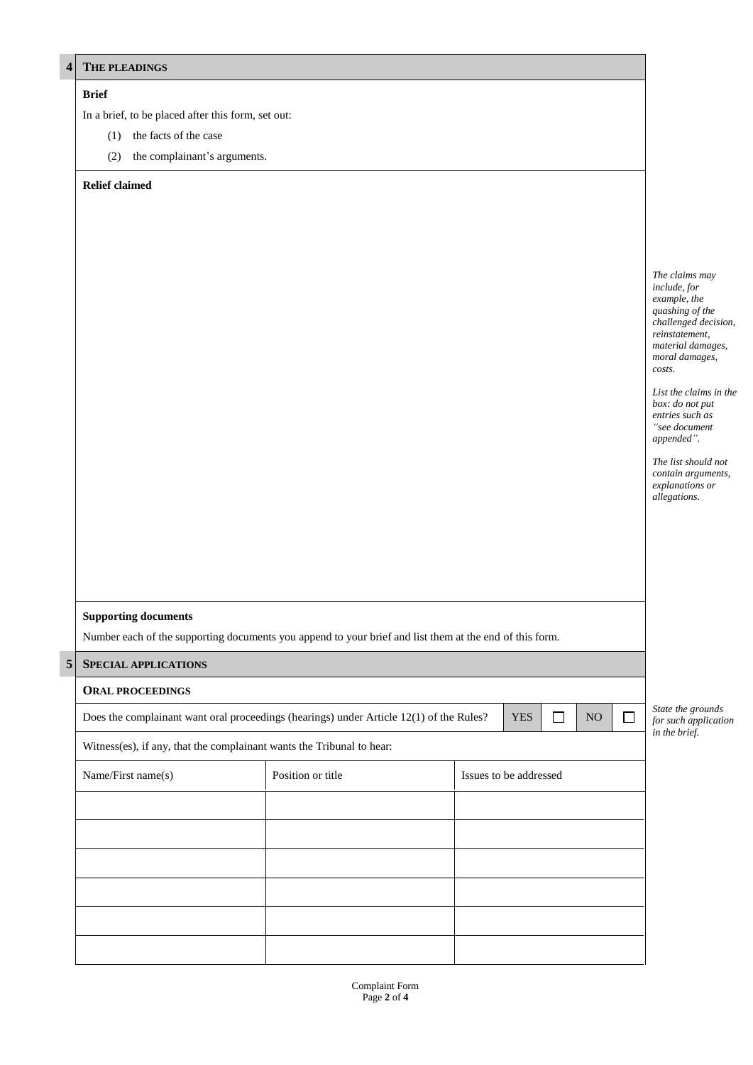| 4 <sup>1</sup> | THE PLEADINGS                                                                                                                               |                   |                        |  |  |  |  |  |  |  |
|----------------|---------------------------------------------------------------------------------------------------------------------------------------------|-------------------|------------------------|--|--|--|--|--|--|--|
|                | <b>Brief</b><br>In a brief, to be placed after this form, set out:                                                                          |                   |                        |  |  |  |  |  |  |  |
|                | the facts of the case<br>(1)                                                                                                                |                   |                        |  |  |  |  |  |  |  |
|                | the complainant's arguments.<br>(2)                                                                                                         |                   |                        |  |  |  |  |  |  |  |
|                | <b>Relief claimed</b>                                                                                                                       |                   |                        |  |  |  |  |  |  |  |
|                |                                                                                                                                             |                   |                        |  |  |  |  |  |  |  |
|                |                                                                                                                                             |                   |                        |  |  |  |  |  |  |  |
|                |                                                                                                                                             |                   |                        |  |  |  |  |  |  |  |
|                |                                                                                                                                             |                   |                        |  |  |  |  |  |  |  |
|                |                                                                                                                                             |                   |                        |  |  |  |  |  |  |  |
|                |                                                                                                                                             |                   |                        |  |  |  |  |  |  |  |
|                | <b>Supporting documents</b>                                                                                                                 |                   |                        |  |  |  |  |  |  |  |
|                | Number each of the supporting documents you append to your brief and list them at the end of this form.                                     |                   |                        |  |  |  |  |  |  |  |
|                | $\sqrt{5}$<br><b>SPECIAL APPLICATIONS</b>                                                                                                   |                   |                        |  |  |  |  |  |  |  |
|                | <b>ORAL PROCEEDINGS</b>                                                                                                                     |                   |                        |  |  |  |  |  |  |  |
|                | Does the complainant want oral proceedings (hearings) under Article 12(1) of the Rules?<br><b>YES</b><br>$\Box$<br>$\Box$<br>N <sub>O</sub> |                   |                        |  |  |  |  |  |  |  |
|                | Witness(es), if any, that the complainant wants the Tribunal to hear:                                                                       |                   |                        |  |  |  |  |  |  |  |
|                | Name/First name(s)                                                                                                                          | Position or title | Issues to be addressed |  |  |  |  |  |  |  |
|                |                                                                                                                                             |                   |                        |  |  |  |  |  |  |  |
|                |                                                                                                                                             |                   |                        |  |  |  |  |  |  |  |
|                |                                                                                                                                             |                   |                        |  |  |  |  |  |  |  |
|                |                                                                                                                                             |                   |                        |  |  |  |  |  |  |  |
|                |                                                                                                                                             |                   |                        |  |  |  |  |  |  |  |
|                |                                                                                                                                             |                   |                        |  |  |  |  |  |  |  |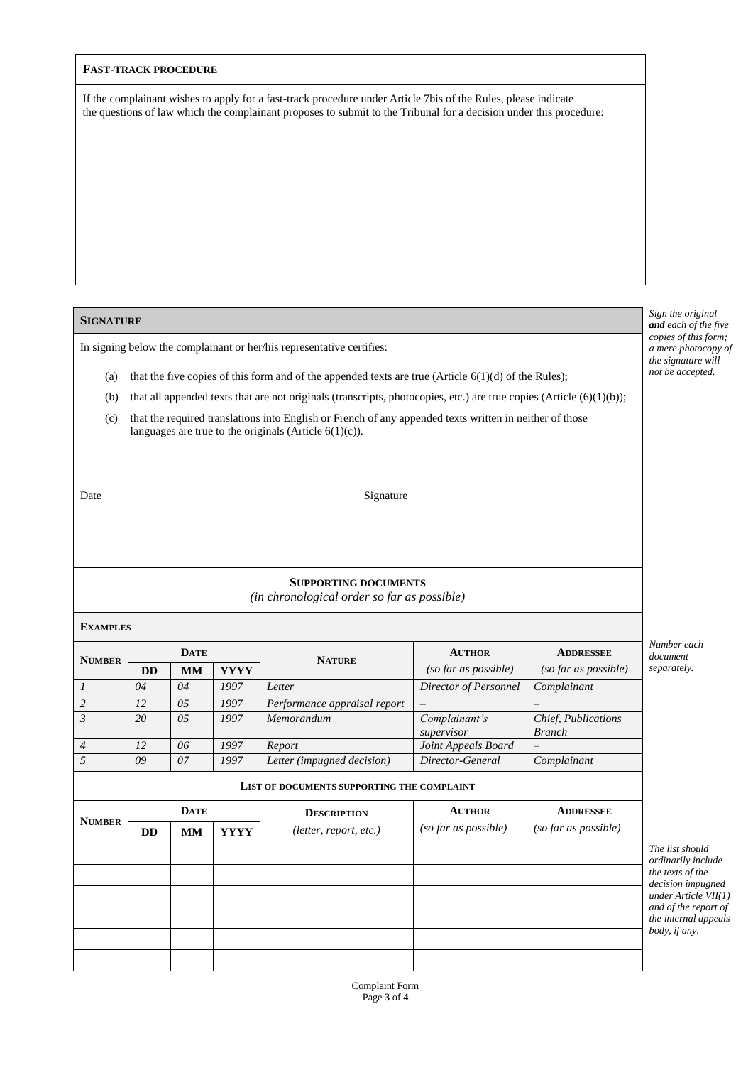| <b>FAST-TRACK PROCEDURE</b> |  |
|-----------------------------|--|
|-----------------------------|--|

If the complainant wishes to apply for a fast-track procedure under Article 7bis of the Rules, please indicate the questions of law which the complainant proposes to submit to the Tribunal for a decision under this procedure:

## **SIGNATURE**

In signing below the complainant or her/his representative certifies:

- (a) that the five copies of this form and of the appended texts are true (Article  $6(1)(d)$  of the Rules);
- (b) that all appended texts that are not originals (transcripts, photocopies, etc.) are true copies (Article  $(6)(1)(b)$ );
- (c) that the required translations into English or French of any appended texts written in neither of those languages are true to the originals (Article 6(1)(c)).
- 

Date Signature

## **SUPPORTING DOCUMENTS**

*(in chronological order so far as possible)*

| <b>EXAMPLES</b> |             |             |             |                                            |                             |                                      |                                   |
|-----------------|-------------|-------------|-------------|--------------------------------------------|-----------------------------|--------------------------------------|-----------------------------------|
| <b>NUMBER</b>   |             | <b>DATE</b> |             | <b>NATURE</b>                              | <b>AUTHOR</b>               | <b>ADDRESSEE</b>                     | Number each<br>document           |
|                 | <b>DD</b>   | <b>MM</b>   | <b>YYYY</b> |                                            | (so far as possible)        | (so far as possible)                 | separately.                       |
| $\overline{I}$  | 04          | 04          | 1997        | Letter                                     | Director of Personnel       | Complainant                          |                                   |
| $\overline{2}$  | 12          | 05          | 1997        | Performance appraisal report               |                             |                                      |                                   |
|                 | 20          | 0.5         | 1997        | Memorandum                                 | Complainant's<br>supervisor | Chief, Publications<br><b>Branch</b> |                                   |
| $\overline{4}$  | 12          | 06          | 1997        | Report                                     | Joint Appeals Board         |                                      |                                   |
| $\overline{5}$  | 09          | 07          | 1997        | Letter (impugned decision)                 | Director-General            | Complainant                          |                                   |
|                 |             |             |             | LIST OF DOCUMENTS SUPPORTING THE COMPLAINT |                             |                                      |                                   |
|                 | <b>DATE</b> |             |             | <b>DESCRIPTION</b>                         | <b>AUTHOR</b>               | <b>ADDRESSEE</b>                     |                                   |
| <b>NUMBER</b>   | <b>DD</b>   | <b>MM</b>   | <b>YYYY</b> | (lefter, report, etc.)                     | (so far as possible)        | (so far as possible)                 |                                   |
|                 |             |             |             |                                            |                             |                                      | The list shoul                    |
|                 |             |             |             |                                            |                             |                                      | ordinarily inc<br>the texts of th |
|                 |             |             |             |                                            |                             |                                      | decision impu<br>under Article    |
|                 |             |             |             |                                            |                             |                                      | and of the rep<br>the internal a  |
|                 |             |             |             |                                            |                             |                                      | body, if any.                     |
|                 |             |             |             |                                            |                             |                                      |                                   |

*Sign the original and each of the five copies of this form; a mere photocopy of the signature will not be accepted.*

*The list should ly include of the*  $impugned$ *under Article VII(1) a a report of the internal appeals body, if any.*